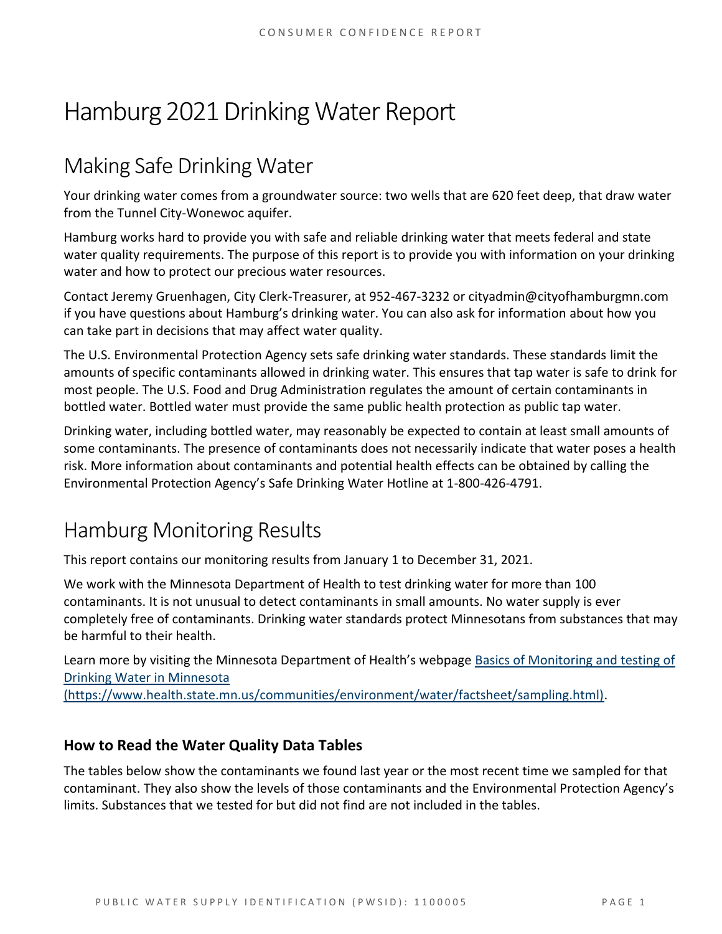# Hamburg 2021 Drinking Water Report

# Making Safe Drinking Water

Your drinking water comes from a groundwater source: two wells that are 620 feet deep, that draw water from the Tunnel City-Wonewoc aquifer.

Hamburg works hard to provide you with safe and reliable drinking water that meets federal and state water quality requirements. The purpose of this report is to provide you with information on your drinking water and how to protect our precious water resources.

Contact Jeremy Gruenhagen, City Clerk-Treasurer, at 952-467-3232 or cityadmin@cityofhamburgmn.com if you have questions about Hamburg's drinking water. You can also ask for information about how you can take part in decisions that may affect water quality.

The U.S. Environmental Protection Agency sets safe drinking water standards. These standards limit the amounts of specific contaminants allowed in drinking water. This ensures that tap water is safe to drink for most people. The U.S. Food and Drug Administration regulates the amount of certain contaminants in bottled water. Bottled water must provide the same public health protection as public tap water.

Drinking water, including bottled water, may reasonably be expected to contain at least small amounts of some contaminants. The presence of contaminants does not necessarily indicate that water poses a health risk. More information about contaminants and potential health effects can be obtained by calling the Environmental Protection Agency's Safe Drinking Water Hotline at 1-800-426-4791.

### Hamburg Monitoring Results

This report contains our monitoring results from January 1 to December 31, 2021.

We work with the Minnesota Department of Health to test drinking water for more than 100 contaminants. It is not unusual to detect contaminants in small amounts. No water supply is ever completely free of contaminants. Drinking water standards protect Minnesotans from substances that may be harmful to their health.

Learn more by visiting the Minnesota Department of Health's webpage Basics of Monitoring and testing of Drinking Water in Minnesota

(https://www.health.state.mn.us/communities/environment/water/factsheet/sampling.html).

#### **How to Read the Water Quality Data Tables**

The tables below show the contaminants we found last year or the most recent time we sampled for that contaminant. They also show the levels of those contaminants and the Environmental Protection Agency's limits. Substances that we tested for but did not find are not included in the tables.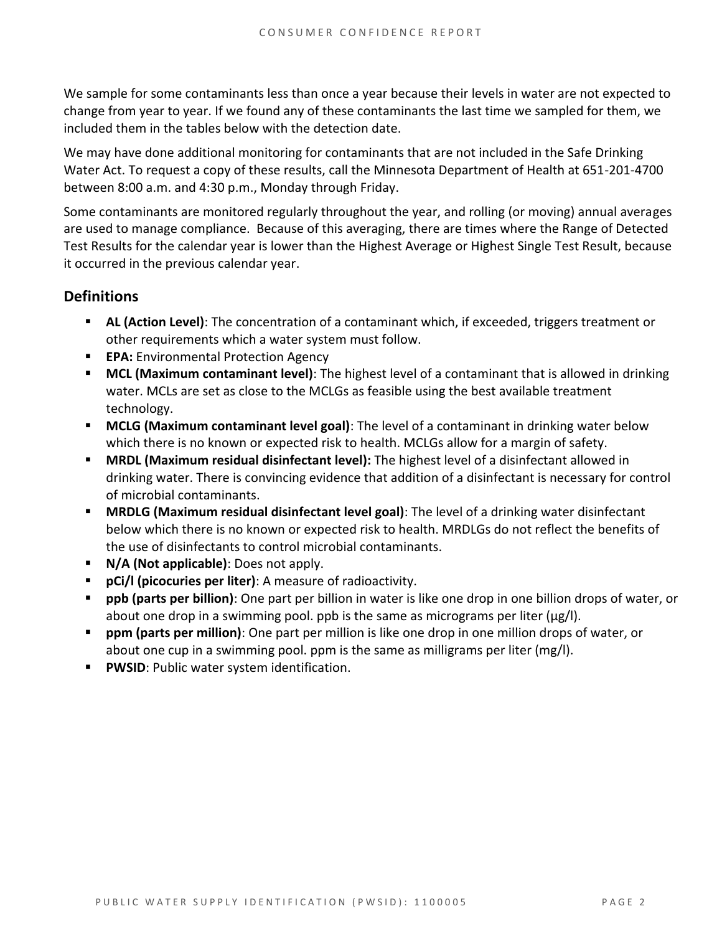We sample for some contaminants less than once a year because their levels in water are not expected to change from year to year. If we found any of these contaminants the last time we sampled for them, we included them in the tables below with the detection date.

We may have done additional monitoring for contaminants that are not included in the Safe Drinking Water Act. To request a copy of these results, call the Minnesota Department of Health at 651-201-4700 between 8:00 a.m. and 4:30 p.m., Monday through Friday.

Some contaminants are monitored regularly throughout the year, and rolling (or moving) annual averages are used to manage compliance. Because of this averaging, there are times where the Range of Detected Test Results for the calendar year is lower than the Highest Average or Highest Single Test Result, because it occurred in the previous calendar year.

#### **Definitions**

- **AL (Action Level)**: The concentration of a contaminant which, if exceeded, triggers treatment or other requirements which a water system must follow.
- **EPA:** Environmental Protection Agency
- **MCL (Maximum contaminant level)**: The highest level of a contaminant that is allowed in drinking water. MCLs are set as close to the MCLGs as feasible using the best available treatment technology.
- **MCLG (Maximum contaminant level goal)**: The level of a contaminant in drinking water below which there is no known or expected risk to health. MCLGs allow for a margin of safety.
- **MRDL (Maximum residual disinfectant level):** The highest level of a disinfectant allowed in drinking water. There is convincing evidence that addition of a disinfectant is necessary for control of microbial contaminants.
- **MRDLG (Maximum residual disinfectant level goal)**: The level of a drinking water disinfectant below which there is no known or expected risk to health. MRDLGs do not reflect the benefits of the use of disinfectants to control microbial contaminants.
- **N/A (Not applicable)**: Does not apply.
- **pCi/l (picocuries per liter)**: A measure of radioactivity.
- **ppb (parts per billion)**: One part per billion in water is like one drop in one billion drops of water, or about one drop in a swimming pool. ppb is the same as micrograms per liter (μg/l).
- **ppm (parts per million)**: One part per million is like one drop in one million drops of water, or about one cup in a swimming pool. ppm is the same as milligrams per liter (mg/l).
- **PWSID**: Public water system identification.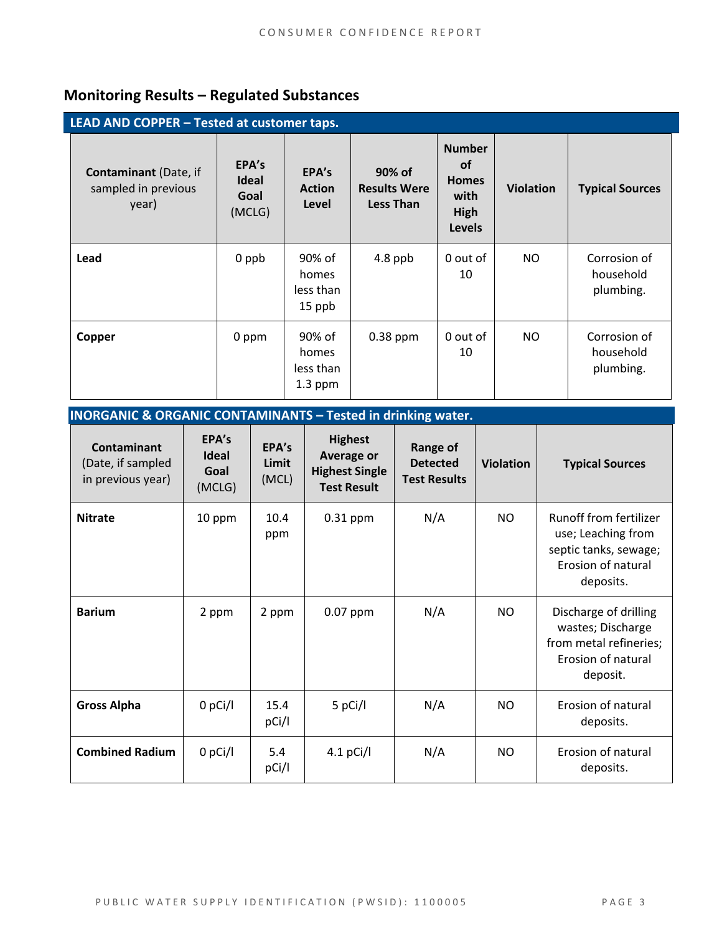### **Monitoring Results – Regulated Substances**

**INORGANIC & ORGANIC CONTAMINANTS – Tested in drinking water.**

| LEAD AND COPPER - Tested at customer taps.                   |                                         |                                           |                                            |                                                                             |                  |                                        |
|--------------------------------------------------------------|-----------------------------------------|-------------------------------------------|--------------------------------------------|-----------------------------------------------------------------------------|------------------|----------------------------------------|
| <b>Contaminant</b> (Date, if<br>sampled in previous<br>year) | EPA's<br><b>Ideal</b><br>Goal<br>(MCLG) | EPA's<br><b>Action</b><br>Level           | 90% of<br><b>Results Were</b><br>Less Than | <b>Number</b><br><b>of</b><br><b>Homes</b><br>with<br>High<br><b>Levels</b> | <b>Violation</b> | <b>Typical Sources</b>                 |
| Lead                                                         | 0 ppb                                   | 90% of<br>homes<br>less than<br>15 ppb    | 4.8 ppb                                    | 0 out of<br>10                                                              | NO.              | Corrosion of<br>household<br>plumbing. |
| Copper                                                       | 0 ppm                                   | 90% of<br>homes<br>less than<br>$1.3$ ppm | $0.38$ ppm                                 | 0 out of<br>10                                                              | NO.              | Corrosion of<br>household<br>plumbing. |

| <b>INURGANIC &amp; URGANIC CONTAMINANTS – TESTED IN OMNUT WATER.</b> |                                         |                         |                                                                                    |                                                    |                  |                                                                                                          |
|----------------------------------------------------------------------|-----------------------------------------|-------------------------|------------------------------------------------------------------------------------|----------------------------------------------------|------------------|----------------------------------------------------------------------------------------------------------|
| <b>Contaminant</b><br>(Date, if sampled<br>in previous year)         | EPA's<br><b>Ideal</b><br>Goal<br>(MCLG) | EPA's<br>Limit<br>(MCL) | <b>Highest</b><br><b>Average or</b><br><b>Highest Single</b><br><b>Test Result</b> | Range of<br><b>Detected</b><br><b>Test Results</b> | <b>Violation</b> | <b>Typical Sources</b>                                                                                   |
| <b>Nitrate</b>                                                       | 10 ppm                                  | 10.4<br>ppm             | $0.31$ ppm                                                                         | N/A                                                | NO.              | Runoff from fertilizer<br>use; Leaching from<br>septic tanks, sewage;<br>Erosion of natural<br>deposits. |
| <b>Barium</b>                                                        | 2 ppm                                   | 2 ppm                   | 0.07 ppm                                                                           | N/A                                                | <b>NO</b>        | Discharge of drilling<br>wastes; Discharge<br>from metal refineries;<br>Erosion of natural<br>deposit.   |
| <b>Gross Alpha</b>                                                   | $0$ pCi/l                               | 15.4<br>pCi/l           | 5 pCi/l                                                                            | N/A                                                | NO.              | Erosion of natural<br>deposits.                                                                          |
| <b>Combined Radium</b>                                               | $0$ pCi/l                               | 5.4<br>pCi/l            | $4.1$ pCi/l                                                                        | N/A                                                | NO.              | Erosion of natural<br>deposits.                                                                          |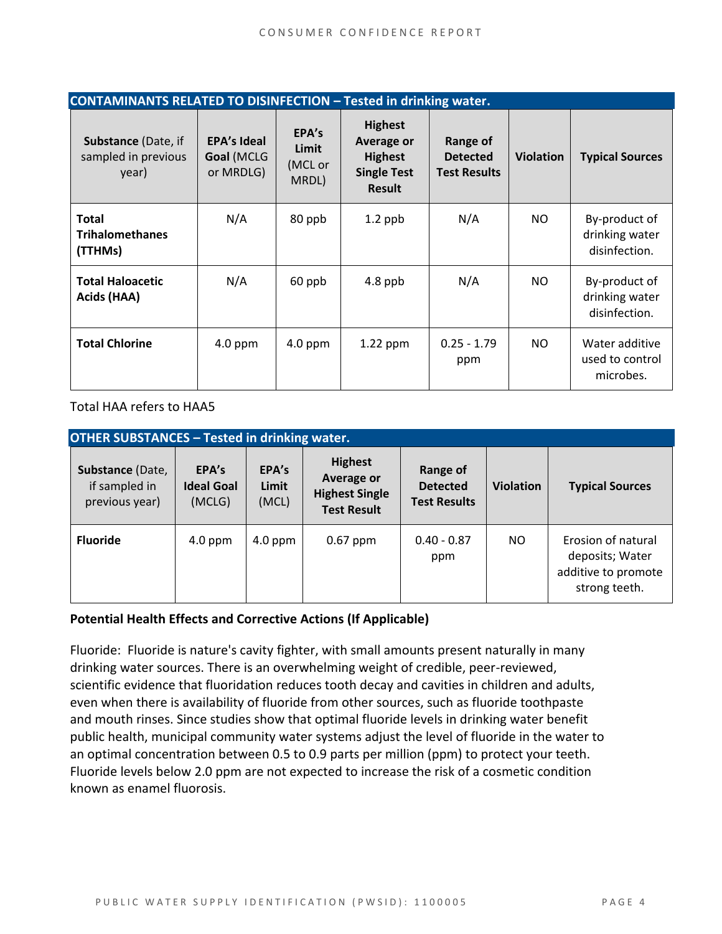| <b>CONTAMINANTS RELATED TO DISINFECTION - Tested in drinking water.</b> |                                               |                                    |                                                                                              |                                                    |                  |                                                  |
|-------------------------------------------------------------------------|-----------------------------------------------|------------------------------------|----------------------------------------------------------------------------------------------|----------------------------------------------------|------------------|--------------------------------------------------|
| Substance (Date, if<br>sampled in previous<br>year)                     | <b>EPA's Ideal</b><br>Goal (MCLG<br>or MRDLG) | EPA's<br>Limit<br>(MCL or<br>MRDL) | <b>Highest</b><br><b>Average or</b><br><b>Highest</b><br><b>Single Test</b><br><b>Result</b> | Range of<br><b>Detected</b><br><b>Test Results</b> | <b>Violation</b> | <b>Typical Sources</b>                           |
| <b>Total</b><br><b>Trihalomethanes</b><br>(TTHMs)                       | N/A                                           | 80 ppb                             | $1.2$ ppb                                                                                    | N/A                                                | NO.              | By-product of<br>drinking water<br>disinfection. |
| <b>Total Haloacetic</b><br>Acids (HAA)                                  | N/A                                           | 60 ppb                             | $4.8$ ppb                                                                                    | N/A                                                | NO.              | By-product of<br>drinking water<br>disinfection. |
| <b>Total Chlorine</b>                                                   | $4.0$ ppm                                     | $4.0$ ppm                          | $1.22$ ppm                                                                                   | $0.25 - 1.79$<br>ppm                               | NO.              | Water additive<br>used to control<br>microbes.   |

Total HAA refers to HAA5

| <b>OTHER SUBSTANCES - Tested in drinking water.</b> |                                      |                         |                                                                                    |                                                    |                  |                                                                               |  |
|-----------------------------------------------------|--------------------------------------|-------------------------|------------------------------------------------------------------------------------|----------------------------------------------------|------------------|-------------------------------------------------------------------------------|--|
| Substance (Date,<br>if sampled in<br>previous year) | EPA's<br><b>Ideal Goal</b><br>(MCLG) | EPA's<br>Limit<br>(MCL) | <b>Highest</b><br><b>Average or</b><br><b>Highest Single</b><br><b>Test Result</b> | Range of<br><b>Detected</b><br><b>Test Results</b> | <b>Violation</b> | <b>Typical Sources</b>                                                        |  |
| <b>Fluoride</b>                                     | $4.0$ ppm                            | $4.0$ ppm               | $0.67$ ppm                                                                         | $0.40 - 0.87$<br>ppm                               | NO.              | Erosion of natural<br>deposits; Water<br>additive to promote<br>strong teeth. |  |

#### **Potential Health Effects and Corrective Actions (If Applicable)**

Fluoride: Fluoride is nature's cavity fighter, with small amounts present naturally in many drinking water sources. There is an overwhelming weight of credible, peer-reviewed, scientific evidence that fluoridation reduces tooth decay and cavities in children and adults, even when there is availability of fluoride from other sources, such as fluoride toothpaste and mouth rinses. Since studies show that optimal fluoride levels in drinking water benefit public health, municipal community water systems adjust the level of fluoride in the water to an optimal concentration between 0.5 to 0.9 parts per million (ppm) to protect your teeth. Fluoride levels below 2.0 ppm are not expected to increase the risk of a cosmetic condition known as enamel fluorosis.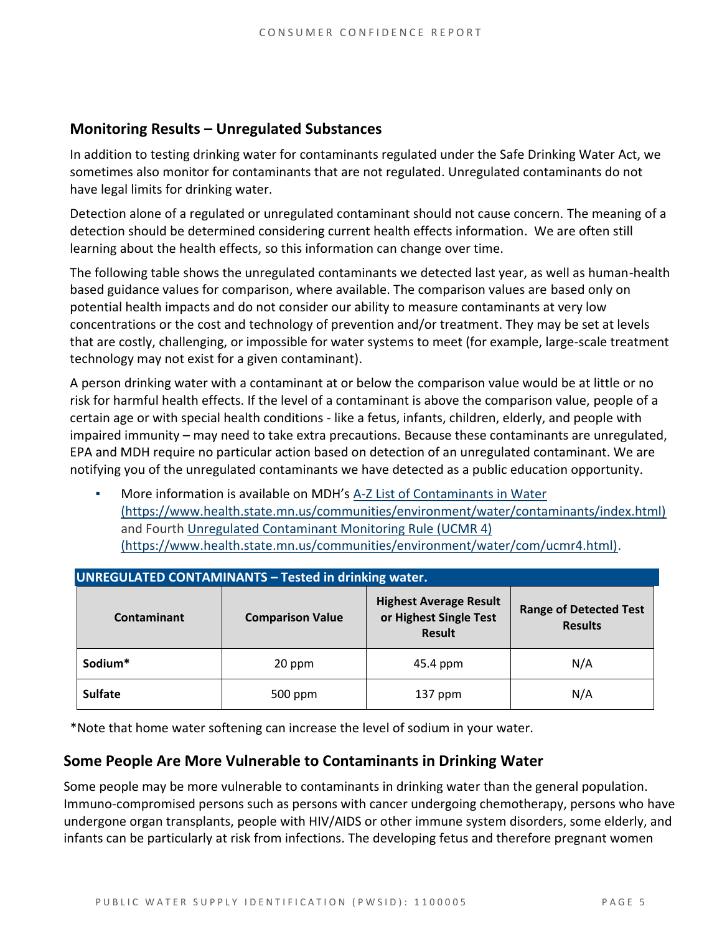#### **Monitoring Results – Unregulated Substances**

In addition to testing drinking water for contaminants regulated under the Safe Drinking Water Act, we sometimes also monitor for contaminants that are not regulated. Unregulated contaminants do not have legal limits for drinking water.

Detection alone of a regulated or unregulated contaminant should not cause concern. The meaning of a detection should be determined considering current health effects information. We are often still learning about the health effects, so this information can change over time.

The following table shows the unregulated contaminants we detected last year, as well as human-health based guidance values for comparison, where available. The comparison values are based only on potential health impacts and do not consider our ability to measure contaminants at very low concentrations or the cost and technology of prevention and/or treatment. They may be set at levels that are costly, challenging, or impossible for water systems to meet (for example, large-scale treatment technology may not exist for a given contaminant).

A person drinking water with a contaminant at or below the comparison value would be at little or no risk for harmful health effects. If the level of a contaminant is above the comparison value, people of a certain age or with special health conditions - like a fetus, infants, children, elderly, and people with impaired immunity – may need to take extra precautions. Because these contaminants are unregulated, EPA and MDH require no particular action based on detection of an unregulated contaminant. We are notifying you of the unregulated contaminants we have detected as a public education opportunity.

More information is available on MDH's A-Z List of Contaminants in Water (https://www.health.state.mn.us/communities/environment/water/contaminants/index.html) and Fourth Unregulated Contaminant Monitoring Rule (UCMR 4) (https://www.health.state.mn.us/communities/environment/water/com/ucmr4.html).

| <b>UNREGULATED CONTAMINANTS - Tested in drinking water.</b> |                         |                                                                          |                                                 |  |  |  |  |
|-------------------------------------------------------------|-------------------------|--------------------------------------------------------------------------|-------------------------------------------------|--|--|--|--|
| <b>Contaminant</b>                                          | <b>Comparison Value</b> | <b>Highest Average Result</b><br>or Highest Single Test<br><b>Result</b> | <b>Range of Detected Test</b><br><b>Results</b> |  |  |  |  |
| Sodium*                                                     | 20 ppm                  |                                                                          | N/A                                             |  |  |  |  |
| <b>Sulfate</b>                                              | 500 ppm                 | $137$ ppm                                                                | N/A                                             |  |  |  |  |

\*Note that home water softening can increase the level of sodium in your water.

#### **Some People Are More Vulnerable to Contaminants in Drinking Water**

Some people may be more vulnerable to contaminants in drinking water than the general population. Immuno-compromised persons such as persons with cancer undergoing chemotherapy, persons who have undergone organ transplants, people with HIV/AIDS or other immune system disorders, some elderly, and infants can be particularly at risk from infections. The developing fetus and therefore pregnant women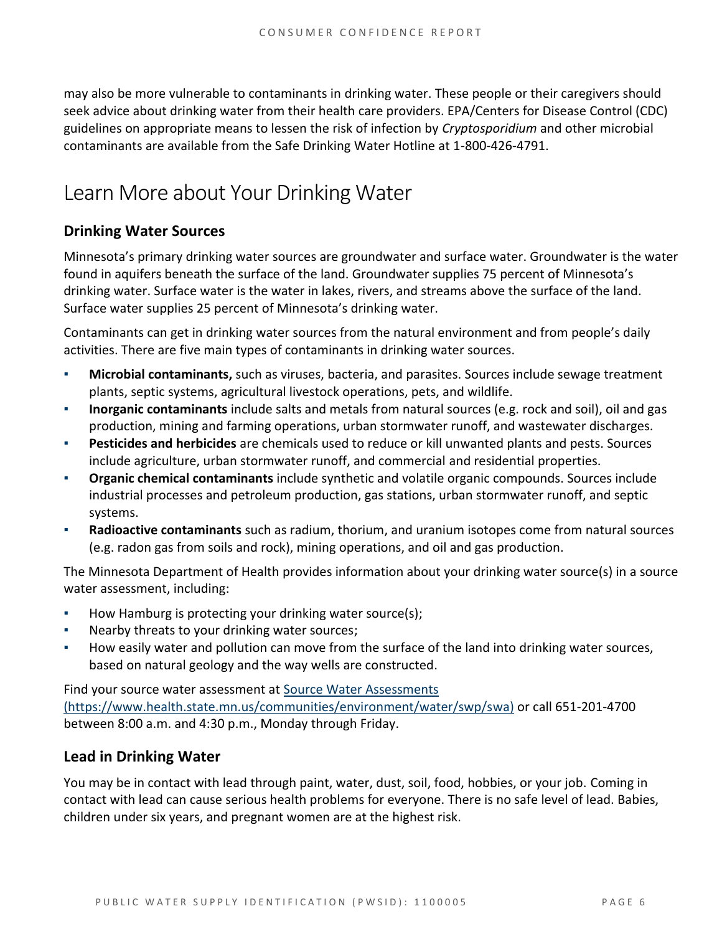may also be more vulnerable to contaminants in drinking water. These people or their caregivers should seek advice about drinking water from their health care providers. EPA/Centers for Disease Control (CDC) guidelines on appropriate means to lessen the risk of infection by *Cryptosporidium* and other microbial contaminants are available from the Safe Drinking Water Hotline at 1-800-426-4791.

### Learn More about Your Drinking Water

#### **Drinking Water Sources**

Minnesota's primary drinking water sources are groundwater and surface water. Groundwater is the water found in aquifers beneath the surface of the land. Groundwater supplies 75 percent of Minnesota's drinking water. Surface water is the water in lakes, rivers, and streams above the surface of the land. Surface water supplies 25 percent of Minnesota's drinking water.

Contaminants can get in drinking water sources from the natural environment and from people's daily activities. There are five main types of contaminants in drinking water sources.

- **Microbial contaminants,** such as viruses, bacteria, and parasites. Sources include sewage treatment plants, septic systems, agricultural livestock operations, pets, and wildlife.
- **Inorganic contaminants** include salts and metals from natural sources (e.g. rock and soil), oil and gas production, mining and farming operations, urban stormwater runoff, and wastewater discharges.
- **Pesticides and herbicides** are chemicals used to reduce or kill unwanted plants and pests. Sources include agriculture, urban stormwater runoff, and commercial and residential properties.
- **Organic chemical contaminants** include synthetic and volatile organic compounds. Sources include industrial processes and petroleum production, gas stations, urban stormwater runoff, and septic systems.
- Radioactive contaminants such as radium, thorium, and uranium isotopes come from natural sources (e.g. radon gas from soils and rock), mining operations, and oil and gas production.

The Minnesota Department of Health provides information about your drinking water source(s) in a source water assessment, including:

- How Hamburg is protecting your drinking water source(s);
- Nearby threats to your drinking water sources;
- How easily water and pollution can move from the surface of the land into drinking water sources, based on natural geology and the way wells are constructed.

Find your source water assessment at Source Water Assessments (https://www.health.state.mn.us/communities/environment/water/swp/swa) or call 651-201-4700 between 8:00 a.m. and 4:30 p.m., Monday through Friday.

#### **Lead in Drinking Water**

You may be in contact with lead through paint, water, dust, soil, food, hobbies, or your job. Coming in contact with lead can cause serious health problems for everyone. There is no safe level of lead. Babies, children under six years, and pregnant women are at the highest risk.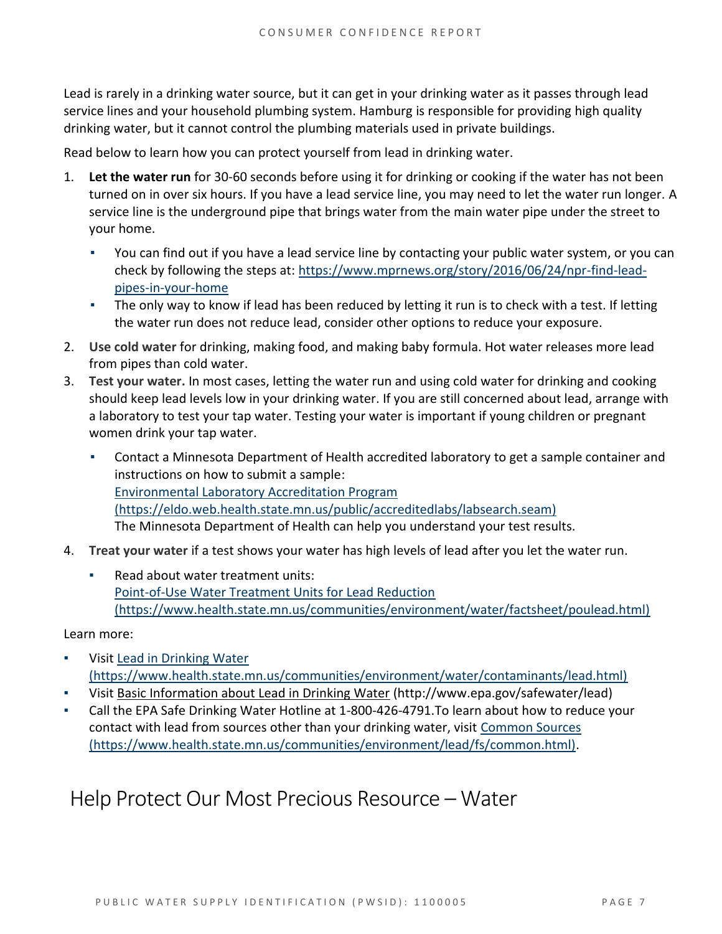Lead is rarely in a drinking water source, but it can get in your drinking water as it passes through lead service lines and your household plumbing system. Hamburg is responsible for providing high quality drinking water, but it cannot control the plumbing materials used in private buildings.

Read below to learn how you can protect yourself from lead in drinking water.

- 1. **Let the water run** for 30-60 seconds before using it for drinking or cooking if the water has not been turned on in over six hours. If you have a lead service line, you may need to let the water run longer. A service line is the underground pipe that brings water from the main water pipe under the street to your home.
	- You can find out if you have a lead service line by contacting your public water system, or you can check by following the steps at: https://www.mprnews.org/story/2016/06/24/npr-find-leadpipes-in-your-home
	- **•** The only way to know if lead has been reduced by letting it run is to check with a test. If letting the water run does not reduce lead, consider other options to reduce your exposure.
- 2. **Use cold water** for drinking, making food, and making baby formula. Hot water releases more lead from pipes than cold water.
- 3. **Test your water.** In most cases, letting the water run and using cold water for drinking and cooking should keep lead levels low in your drinking water. If you are still concerned about lead, arrange with a laboratory to test your tap water. Testing your water is important if young children or pregnant women drink your tap water.
	- Contact a Minnesota Department of Health accredited laboratory to get a sample container and instructions on how to submit a sample: Environmental Laboratory Accreditation Program (https://eldo.web.health.state.mn.us/public/accreditedlabs/labsearch.seam) The Minnesota Department of Health can help you understand your test results.
- 4. **Treat your water** if a test shows your water has high levels of lead after you let the water run.
	- Read about water treatment units: Point-of-Use Water Treatment Units for Lead Reduction (https://www.health.state.mn.us/communities/environment/water/factsheet/poulead.html)

#### Learn more:

- Visit Lead in Drinking Water (https://www.health.state.mn.us/communities/environment/water/contaminants/lead.html)
- Visit Basic Information about Lead in Drinking Water (http://www.epa.gov/safewater/lead)
- Call the EPA Safe Drinking Water Hotline at 1-800-426-4791. To learn about how to reduce your contact with lead from sources other than your drinking water, visit Common Sources (https://www.health.state.mn.us/communities/environment/lead/fs/common.html).

### Help Protect Our Most Precious Resource – Water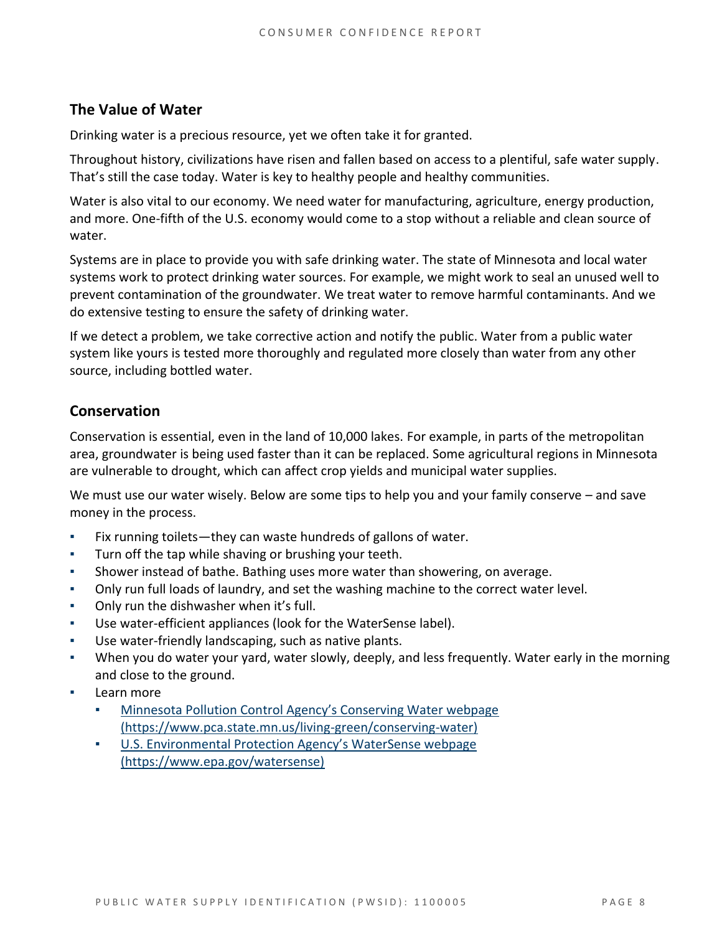#### **The Value of Water**

Drinking water is a precious resource, yet we often take it for granted.

Throughout history, civilizations have risen and fallen based on access to a plentiful, safe water supply. That's still the case today. Water is key to healthy people and healthy communities.

Water is also vital to our economy. We need water for manufacturing, agriculture, energy production, and more. One-fifth of the U.S. economy would come to a stop without a reliable and clean source of water.

Systems are in place to provide you with safe drinking water. The state of Minnesota and local water systems work to protect drinking water sources. For example, we might work to seal an unused well to prevent contamination of the groundwater. We treat water to remove harmful contaminants. And we do extensive testing to ensure the safety of drinking water.

If we detect a problem, we take corrective action and notify the public. Water from a public water system like yours is tested more thoroughly and regulated more closely than water from any other source, including bottled water.

#### **Conservation**

Conservation is essential, even in the land of 10,000 lakes. For example, in parts of the metropolitan area, groundwater is being used faster than it can be replaced. Some agricultural regions in Minnesota are vulnerable to drought, which can affect crop yields and municipal water supplies.

We must use our water wisely. Below are some tips to help you and your family conserve – and save money in the process.

- Fix running toilets—they can waste hundreds of gallons of water.
- Turn off the tap while shaving or brushing your teeth.
- Shower instead of bathe. Bathing uses more water than showering, on average.
- Only run full loads of laundry, and set the washing machine to the correct water level.
- **Only run the dishwasher when it's full.**
- Use water-efficient appliances (look for the WaterSense label).
- Use water-friendly landscaping, such as native plants.
- When you do water your yard, water slowly, deeply, and less frequently. Water early in the morning and close to the ground.
- Learn more
	- Minnesota Pollution Control Agency's Conserving Water webpage (https://www.pca.state.mn.us/living-green/conserving-water)
	- U.S. Environmental Protection Agency's WaterSense webpage (https://www.epa.gov/watersense)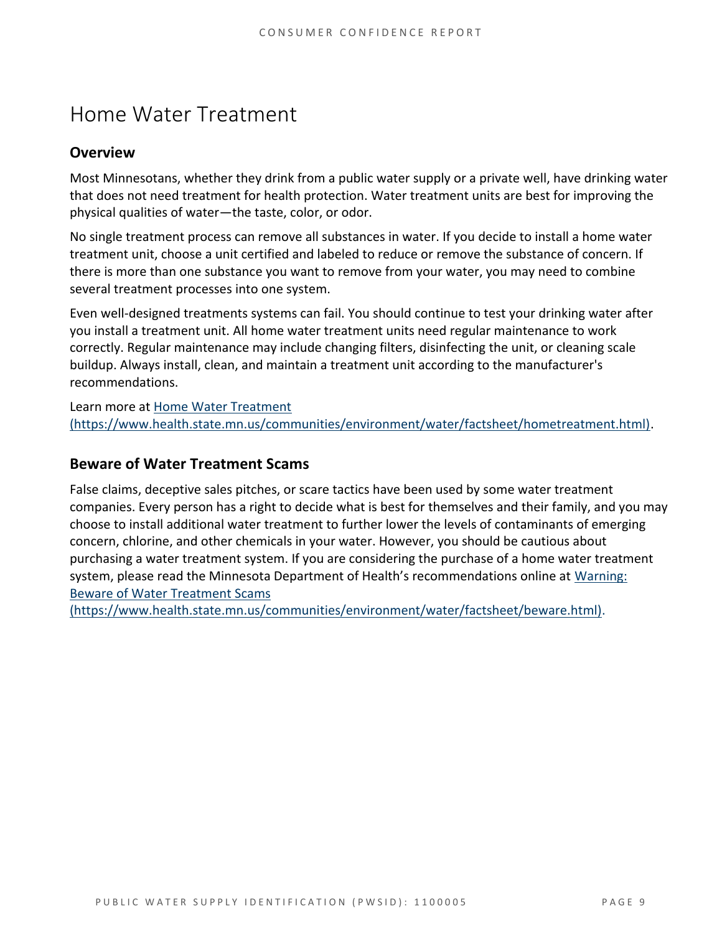# Home Water Treatment

#### **Overview**

Most Minnesotans, whether they drink from a public water supply or a private well, have drinking water that does not need treatment for health protection. Water treatment units are best for improving the physical qualities of water—the taste, color, or odor.

No single treatment process can remove all substances in water. If you decide to install a home water treatment unit, choose a unit certified and labeled to reduce or remove the substance of concern. If there is more than one substance you want to remove from your water, you may need to combine several treatment processes into one system.

Even well-designed treatments systems can fail. You should continue to test your drinking water after you install a treatment unit. All home water treatment units need regular maintenance to work correctly. Regular maintenance may include changing filters, disinfecting the unit, or cleaning scale buildup. Always install, clean, and maintain a treatment unit according to the manufacturer's recommendations.

Learn more at Home Water Treatment (https://www.health.state.mn.us/communities/environment/water/factsheet/hometreatment.html).

#### **Beware of Water Treatment Scams**

False claims, deceptive sales pitches, or scare tactics have been used by some water treatment companies. Every person has a right to decide what is best for themselves and their family, and you may choose to install additional water treatment to further lower the levels of contaminants of emerging concern, chlorine, and other chemicals in your water. However, you should be cautious about purchasing a water treatment system. If you are considering the purchase of a home water treatment system, please read the Minnesota Department of Health's recommendations online at Warning: Beware of Water Treatment Scams

(https://www.health.state.mn.us/communities/environment/water/factsheet/beware.html).